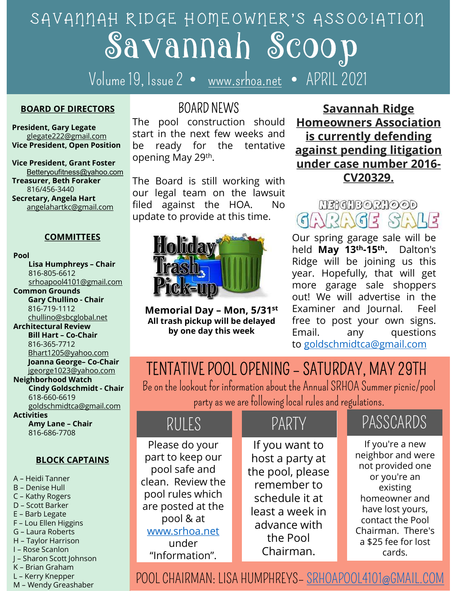# Savannah Scoop SAVANNAH RIDGE HOMEOWNER'S ASSOCIATION The pool construction should are a set of the same of the pool construction should the pool construction should the pool construction should **Homeowners Association**<br>BOARD NEWS **Savannah Ridge**<br>The pool construction shoul STRIDGE HOMEOWNER'S ASSOCIATION<br>
SCOOD<br>
9, Issue 2 • www.srhoa.net • APRIL 2021<br> **BOARD NEWS**<br>
The pool construction should **Homeowners Association**<br>
start in the next few weeks and **is currently defending**<br>
be ready for CIDGE HOMEOWNER'S ASSOCIATION<br> **SCOOD**<br>
9, Issue 2 • <u>www.srhoa.net</u> • APRIL 2021<br> **BOARD NEWS**<br>
The pool construction should Homeowners Association<br>
The pool construction should Homeowners Association<br>
be ready for the t COCO SUPERTREAD MERTAIN SUPER THE ALL SUPER THE BOARD NEWS<br>
The pool construction should **Homeowners Association**<br>
The pool construction should **Homeowners Association**<br>
Supering May 29th.<br>
The Board is still working with COOD ME HOMEOWIER'S ASSOCIATION<br> **SCOOD**<br>
9, Issue 2 • www.srhoa.net • APRIL 2021<br>
BOARD NEWS<br>
The pool construction should **Homeowners Association**<br>
start in the next few weeks and **is currently defending**<br>
be ready for (TDGE HOMEOWITER'S HSSOCIATION<br>
9, Issue 2 • <u>www.srhoa.net</u> • APRIL 2021<br>
80ARD NEWS **Savannah Ridge**<br>
The pool construction should **Homeowners Association**<br>
start in the next few weeks and **is currently defending**<br>
be r

Volume 19, Issue 2 • www.srhoa.net • APRIL 2021

#### BOARD OF DIRECTORS

Betteryoufitness@yahoo.com Secretary, Angela Hart

#### **COMMITTEES**

Pool

816-805-6612 Common Grounds chullino@sbcglobal.net Architectural Review President, Grant Foster<br>
State of Cornel (Setteryoutiness@yahoo.com<br>
State of State of Chair<br>
State And the Board is still working with<br>
etary, Angela Hart<br>
etary, Angela Hart<br>
etary, Angela Hart<br>
etary, Angela Hart<br>
Commu 816-365-7712 Bhart1205@yahoo.com<br>Joanna George- Co-Chair Surey and Surey and Surey and Surey and Surey Att Area and Surey Att Area and Surey Att Area and Surey Angle and Surey Angle and Surey Angle and Surey (COMMITTEES COMMITTEES UPON UPON COMMITTEES COMMITTEES UPON UPON COMMIT Example and the HOA. No UPSPER COMMITTEES<br>
COMMITTEES Update to provide at this time.<br>
COMMITTEES Update to provide at this time.<br>
COMMITTEES Update to provide at this time.<br>
Since  $\frac{1}{2}$  and May 1<br>
Example of the Chair 618-660-6619 goldschmidtca@gmail.com **Activities** COMMITTEES<br>
Lisa Humphreys - Chair<br>
Sti-805-6612<br>
Sticken apple delinion Countino Chair<br>
Gary Chullino Chair<br>
Cary Chullino Chair<br>
Cary Chullino Chair<br>
Cary Chullino Chair<br>
Cary Chullino Chair<br>
Chair Lisa Humphreys - Chair 816-686-7708 BLOCK CAPTAINS Common Groundsbeglobal.net<br>
any Chullino-Schoolshinet<br>
Architectural Review<br>
Bill Hart - Co-Chair<br>
Bill Hart - Co-Chair<br>
Bill Hart - Co-Chair<br>
Bill Hart - Co-Chair<br>
Bill Hart - Co-Chair<br>
Bill Hart - Co-Chair<br>
Bill Hart - C Experimental Day – Mon, 5/31<br>
Ste-719-1112<br>
Architectural Review<br>
Bill Hart – Co-Chair<br>
Bill Hart – Co-Chair<br>
Bill Hart – Co-Chair<br>
Bindromod Watch<br>
Denna George– Co-Chair<br>
Jeonge1023@yahoo.com<br>
Jeonal George– Co-Chair<br>
TE

- 
- 
- 
- 
- 
- 
- 
- 
- 
- 
- 

### BOARD NEWS

**President, Gary Legate** The pool construction should glegate222@gmail.com start in the next few weeks and Vice President, Open Position be ready for the tentative Vice President, Grant Foster Opening May 29th.

Treasurer, Beth Foraker The Board is still working with  $816/456-3440$  our legal team on the lawsuit  $\frac{1}{\text{angle}(\text{matrix}(\text{expimal.com}))}$  filed against the HOA. No  $\frac{1}{\text{angle}(\text{matrix}(\text{expimal.com}))}$  update to provide at this time.



816-719-1112 **Memorial Day - Mon, 5/31st** 

Savannah Ridge Homeowners Association is currently defending against pending litigation under case number 2016- CV20329. **Savannah Ridge<br>
Savannah Ridge<br>
Homeowners Association<br>
is currently defending<br>
against pending litigation<br>
under case number 2016-<br>
CV20329.<br>
MERCHES 2016-<br>
Our spring garage sale will be<br>
held May 13<sup>th</sup>-15<sup>th</sup>. Dalton'** held May 13th-15th. Dalton's **UP ANNAM SCOOD**<br>
9, Issue 2 • www.srhoa.net • APRIL 2021<br>
BOARD NEWS<br>
The pool construction should **Homeowners Association**<br>
start in the next few weeks and **is currently defending**<br>
be ready for the tentative **against pe** 

srhoapool4101@gmail.com **Pick-IIIm WIIIIII** more garage sale shoppers Figure 1 and Ten the Real of the Real of the Real of the Real of the Real of the Real of the Real of the Real of the Real of the Real of the Real of the Real of the Real of the Real of the Memorial Day - Mon, 5/31<sup>st</sup> Exam ed against the HOA. No **Example 2020**<br>
Mate to provide at this time.<br> **Holiday**<br> **Be on the lookout for information about the annual state will be informated Day - Mon, 5/31<sup>st</sup> Examiner and Journal. Feel<br>
All trash pickup** From the term of the weeks and<br>
ready for the tentative against pending litigation<br>
relation under case number 2016-<br>
Board is still working with<br>
relation under case number 2016-<br>
Board is still working with<br>
date to prov All trash pickup will be delayed free to post your own signs. by one day this week Email. any questions • APRIL 2021<br> **Savannah Ridge**<br> **Homeowners Association**<br> **is currently defending**<br> **against pending litigation**<br> **under case number 2016-**<br> **CV20329.**<br>
<br> **MERIMBORMOOD**<br>
<br> **CV20329.**<br>
<br> **MERIMBORMOOD**<br>
<br> **CV20329.**<br>
<br> **M** Savannah Ridge<br>
Is currently defending<br>
against pending litigation<br>
under case number 2016-<br>
CV20329.<br>
MERGHB©RHOOD<br>
GARROOD<br>
GARROOD<br>
Our spring garage sale will be<br>
held May 13<sup>th</sup>-15<sup>th</sup>. Dalton's<br>
Ridge will be joining more garage sale shoppers out! We will advertise in the Homeowners Association<br>
is currently defending<br>
against pending litigation<br>
under case number 2016-<br>
CV20329.<br>  $M3600000$ <br>
CV20329.<br>
Our spring garage sale will be<br>
held May 13<sup>th</sup>-15<sup>th</sup>. Dalton's<br>
Ridge will be joining **Example 12 Solution**<br> **Example 12 Solution**<br> **EXAMPLE CONSIDER SEADS CONSIDER SEADS CONSIDER SAMPLE Our spring garage sale will be<br>
held May 13<sup>th</sup>-15<sup>th</sup>. Dalton's<br>
Ridge will be joining us this<br>
year. Hopefully, that w against pending litigation**<br>
under case number 2016-<br>
CV20329.<br>
EV20329.<br>
EV20329.<br>
EV20329.<br>
EV20329.<br>
CURTES SALES<br>
Our spring garage sale will be<br>
held May 13<sup>th</sup>-15<sup>th</sup>. Dalton's<br>
Ridge will be joining us this<br>
year. to goldschmidtca@gmail.com

### jgeorge1023@yahoo.com

| 816-719-1112<br>chullino@sbcglobal.net<br><b>Architectural Review</b><br><b>Bill Hart - Co-Chair</b><br>816-365-7712<br>Bhart1205@yahoo.com                                                                                                         | Memorial Day – Mon, $5/31$ <sup>st</sup><br>All trash pickup will be delayed<br>by one day this week                                                                                                          | Examiner and Journal.<br>Feel<br>free to post your own signs.<br>Email.<br>questions<br>any<br>to goldschmidtca@gmail.com |                                                                                                                                                    |           |                                                                                                                                                                                                     |  |
|-----------------------------------------------------------------------------------------------------------------------------------------------------------------------------------------------------------------------------------------------------|---------------------------------------------------------------------------------------------------------------------------------------------------------------------------------------------------------------|---------------------------------------------------------------------------------------------------------------------------|----------------------------------------------------------------------------------------------------------------------------------------------------|-----------|-----------------------------------------------------------------------------------------------------------------------------------------------------------------------------------------------------|--|
| Joanna George- Co-Chair<br>jgeorge1023@yahoo.com<br><b>Neighborhood Watch</b><br><b>Cindy Goldschmidt - Chair</b><br>618-660-6619<br>goldschmidtca@gmail.com<br><b>Activities</b><br>Amy Lane - Chair<br>816-686-7708                               | TENTATIVE POOL OPENING - SATURDAY, MAY 29TH<br>Be on the lookout for information about the Annual SRHOA Summer picnic/pool<br>party as we are following local rules and regulations.<br><b>PARTY</b><br>RULES |                                                                                                                           |                                                                                                                                                    | PASSCARDS |                                                                                                                                                                                                     |  |
| <b>BLOCK CAPTAINS</b><br>A – Heidi Tanner<br><b>B</b> - Denise Hull<br>C - Kathy Rogers<br>D - Scott Barker<br>E - Barb Legate<br>F - Lou Ellen Higgins<br>G - Laura Roberts<br>H - Taylor Harrison<br>I - Rose Scanlon<br>J – Sharon Scott Johnson | Please do your<br>part to keep our<br>pool safe and<br>clean. Review the<br>pool rules which<br>are posted at the<br>pool & at<br>www.srhoa.net<br>under<br>"Information".                                    |                                                                                                                           | If you want to<br>host a party at<br>the pool, please<br>remember to<br>schedule it at<br>least a week in<br>advance with<br>the Pool<br>Chairman. |           | If you're a new<br>neighbor and were<br>not provided one<br>or you're an<br>existing<br>homeowner and<br>have lost yours,<br>contact the Pool<br>Chairman. There's<br>a \$25 fee for lost<br>cards. |  |
| K - Brian Graham<br>L - Kerry Knepper<br>M - Wendy Greashaber                                                                                                                                                                                       | POOL CHAIRMAN: LISA HUMPHREYS- SRHOAPOOL4101@GMAIL.COM                                                                                                                                                        |                                                                                                                           |                                                                                                                                                    |           |                                                                                                                                                                                                     |  |